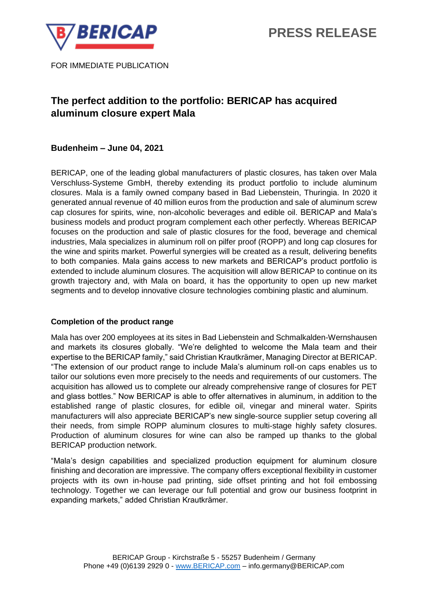

FOR IMMEDIATE PUBLICATION

# **The perfect addition to the portfolio: BERICAP has acquired aluminum closure expert Mala**

## **Budenheim – June 04, 2021**

BERICAP, one of the leading global manufacturers of plastic closures, has taken over Mala Verschluss-Systeme GmbH, thereby extending its product portfolio to include aluminum closures. Mala is a family owned company based in Bad Liebenstein, Thuringia. In 2020 it generated annual revenue of 40 million euros from the production and sale of aluminum screw cap closures for spirits, wine, non-alcoholic beverages and edible oil. BERICAP and Mala's business models and product program complement each other perfectly. Whereas BERICAP focuses on the production and sale of plastic closures for the food, beverage and chemical industries, Mala specializes in aluminum roll on pilfer proof (ROPP) and long cap closures for the wine and spirits market. Powerful synergies will be created as a result, delivering benefits to both companies. Mala gains access to new markets and BERICAP's product portfolio is extended to include aluminum closures. The acquisition will allow BERICAP to continue on its growth trajectory and, with Mala on board, it has the opportunity to open up new market segments and to develop innovative closure technologies combining plastic and aluminum.

## **Completion of the product range**

Mala has over 200 employees at its sites in Bad Liebenstein and Schmalkalden-Wernshausen and markets its closures globally. "We're delighted to welcome the Mala team and their expertise to the BERICAP family," said Christian Krautkrämer, Managing Director at BERICAP. "The extension of our product range to include Mala's aluminum roll-on caps enables us to tailor our solutions even more precisely to the needs and requirements of our customers. The acquisition has allowed us to complete our already comprehensive range of closures for PET and glass bottles." Now BERICAP is able to offer alternatives in aluminum, in addition to the established range of plastic closures, for edible oil, vinegar and mineral water. Spirits manufacturers will also appreciate BERICAP's new single-source supplier setup covering all their needs, from simple ROPP aluminum closures to multi-stage highly safety closures. Production of aluminum closures for wine can also be ramped up thanks to the global BERICAP production network.

"Mala's design capabilities and specialized production equipment for aluminum closure finishing and decoration are impressive. The company offers exceptional flexibility in customer projects with its own in-house pad printing, side offset printing and hot foil embossing technology. Together we can leverage our full potential and grow our business footprint in expanding markets," added Christian Krautkrämer.